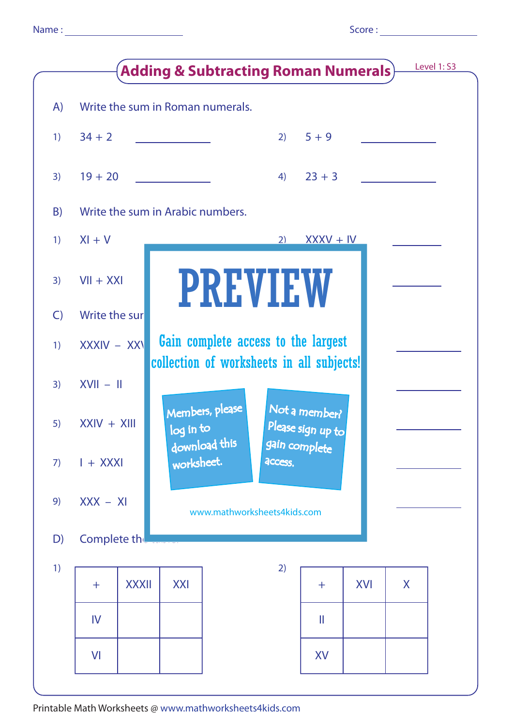|              |                                                      |              |                                           |                 | <b>Adding &amp; Subtracting Roman Numerals)</b> |                                    |            |   | Level 1: S3 |
|--------------|------------------------------------------------------|--------------|-------------------------------------------|-----------------|-------------------------------------------------|------------------------------------|------------|---|-------------|
| A)           | Write the sum in Roman numerals.                     |              |                                           |                 |                                                 |                                    |            |   |             |
| 1)           | $34 + 2$                                             |              |                                           |                 | 2)                                              | $5 + 9$                            |            |   |             |
| 3)           | $19 + 20$                                            |              |                                           |                 | 4)                                              | $23 + 3$                           |            |   |             |
| B)           | Write the sum in Arabic numbers.                     |              |                                           |                 |                                                 |                                    |            |   |             |
| 1)           | $XI + V$                                             |              |                                           |                 | 2)                                              | $Y$ XXXV + IV                      |            |   |             |
| 3)           | $VII + XXI$                                          |              |                                           |                 | <b>PREVIEW</b>                                  |                                    |            |   |             |
| $\mathsf{C}$ | Write the sur                                        |              |                                           |                 |                                                 |                                    |            |   |             |
| 1)           | Gain complete access to the largest<br>$XXXIV - XXV$ |              |                                           |                 |                                                 |                                    |            |   |             |
| 3)           | $XVII - II$                                          |              | collection of worksheets in all subjects! |                 |                                                 |                                    |            |   |             |
| 5)           | $XXIV + XIII$                                        |              | log in to                                 | Members, please |                                                 | Not a member?<br>Please sign up to |            |   |             |
| 7)           | $I + XXXI$                                           |              | download this<br>worksheet.               |                 | access.                                         | gain complete                      |            |   |             |
| 9)           | $XXX - XI$<br>www.mathworksheets4kids.com            |              |                                           |                 |                                                 |                                    |            |   |             |
| D)           | Complete the                                         |              |                                           |                 |                                                 |                                    |            |   |             |
| 1)           | $+$                                                  | <b>XXXII</b> | <b>XXI</b>                                |                 | 2)                                              | $+$                                | <b>XVI</b> | X |             |
|              | IV                                                   |              |                                           |                 |                                                 | $\mathbb I$                        |            |   |             |
|              | VI                                                   |              |                                           |                 |                                                 | XV                                 |            |   |             |